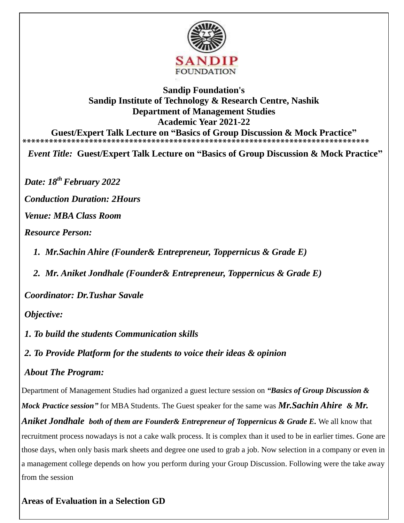

## **Sandip Foundation's Sandip Institute of Technology & Research Centre, Nashik Department of Management Studies Academic Year 2021-22 Guest/Expert Talk Lecture on "Basics of Group Discussion & Mock Practice"**

**\*\*\*\*\*\*\*\*\*\*\*\*\*\*\*\*\*\*\*\*\*\*\*\*\*\*\*\*\*\*\*\*\*\*\*\*\*\*\*\*\*\*\*\*\*\*\*\*\*\*\*\*\*\*\*\*\*\*\*\*\*\*\*\*\*\*\*\*\*\*\*\*\*\*\*\*\*\*** 

*Event Title:* **Guest/Expert Talk Lecture on "Basics of Group Discussion & Mock Practice"** 

*Date: 18thFebruary 2022*

*Conduction Duration: 2Hours* 

*Venue: MBA Class Room* 

*Resource Person:* 

- *1. Mr.Sachin Ahire (Founder& Entrepreneur, Toppernicus & Grade E)*
- *2. Mr. Aniket Jondhale (Founder& Entrepreneur, Toppernicus & Grade E)*

*Coordinator: Dr.Tushar Savale* 

### *Objective:*

- *1. To build the students Communication skills*
- *2. To Provide Platform for the students to voice their ideas & opinion*

### *About The Program:*

Department of Management Studies had organized a guest lecture session on *"Basics of Group Discussion & Mock Practice session"* for MBA Students. The Guest speaker for the same was *Mr.Sachin Ahire & Mr.* 

*Aniket Jondhale both of them are Founder& Entrepreneur of Toppernicus & Grade E.* We all know that recruitment process nowadays is not a cake walk process. It is complex than it used to be in earlier times. Gone are those days, when only basis mark sheets and degree one used to grab a job. Now selection in a company or even in a management college depends on how you perform during your Group Discussion. Following were the take away from the session

### **Areas of Evaluation in a Selection GD**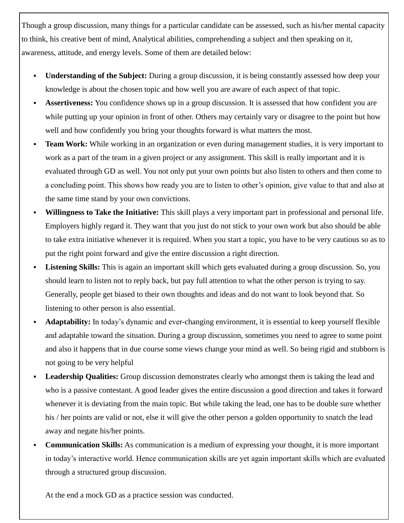Though a group discussion, many things for a particular candidate can be assessed, such as his/her mental capacity to think, his creative bent of mind, Analytical abilities, comprehending a subject and then speaking on it, awareness, attitude, and energy levels. Some of them are detailed below:

- **Understanding of the Subject:** During a group discussion, it is being constantly assessed how deep your knowledge is about the chosen topic and how well you are aware of each aspect of that topic.
- **Assertiveness:** You confidence shows up in a group discussion. It is assessed that how confident you are while putting up your opinion in front of other. Others may certainly vary or disagree to the point but how well and how confidently you bring your thoughts forward is what matters the most.
- **Team Work:** While working in an organization or even during management studies, it is very important to work as a part of the team in a given project or any assignment. This skill is really important and it is evaluated through GD as well. You not only put your own points but also listen to others and then come to a concluding point. This shows how ready you are to listen to other's opinion, give value to that and also at the same time stand by your own convictions.
- **Willingness to Take the Initiative:** This skill plays a very important part in professional and personal life. Employers highly regard it. They want that you just do not stick to your own work but also should be able to take extra initiative whenever it is required. When you start a topic, you have to be very cautious so as to put the right point forward and give the entire discussion a right direction.
- **Listening Skills:** This is again an important skill which gets evaluated during a group discussion. So, you should learn to listen not to reply back, but pay full attention to what the other person is trying to say. Generally, people get biased to their own thoughts and ideas and do not want to look beyond that. So listening to other person is also essential.
- **Adaptability:** In today's dynamic and ever-changing environment, it is essential to keep yourself flexible and adaptable toward the situation. During a group discussion, sometimes you need to agree to some point and also it happens that in due course some views change your mind as well. So being rigid and stubborn is not going to be very helpful
- **Leadership Qualities:** Group discussion demonstrates clearly who amongst them is taking the lead and who is a passive contestant. A good leader gives the entire discussion a good direction and takes it forward whenever it is deviating from the main topic. But while taking the lead, one has to be double sure whether his / her points are valid or not, else it will give the other person a golden opportunity to snatch the lead away and negate his/her points.
- **Communication Skills:** As communication is a medium of expressing your thought, it is more important in today's interactive world. Hence communication skills are yet again important skills which are evaluated through a structured group discussion.

At the end a mock GD as a practice session was conducted.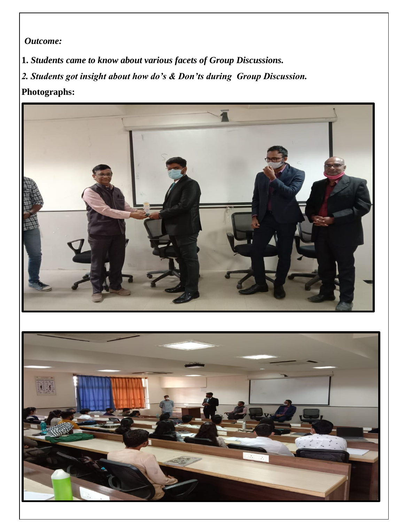*Outcome:*

**1.** *Students came to know about various facets of Group Discussions. 2. Students got insight about how do's & Don'ts during Group Discussion.* 

# **Photographs:**